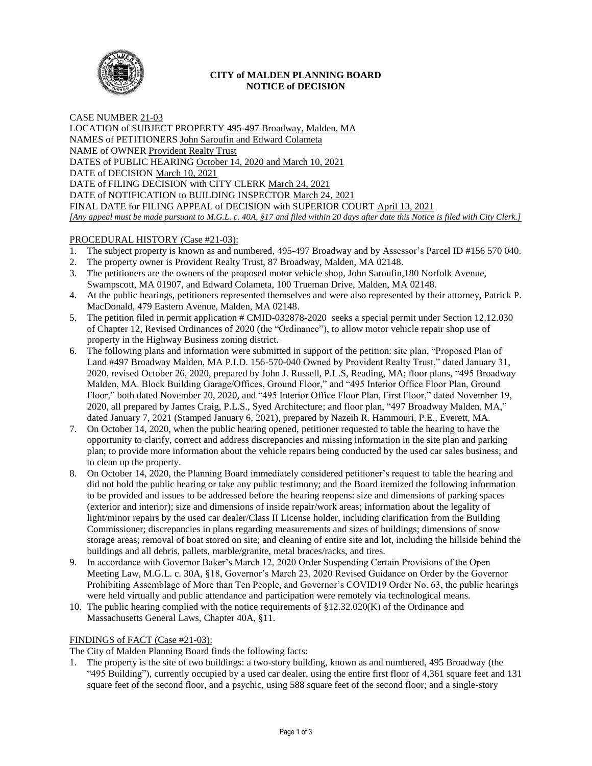

## **CITY of MALDEN PLANNING BOARD NOTICE of DECISION**

CASE NUMBER 21-03 LOCATION of SUBJECT PROPERTY 495-497 Broadway, Malden, MA NAMES of PETITIONERS John Saroufin and Edward Colameta NAME of OWNER Provident Realty Trust DATES of PUBLIC HEARING October 14, 2020 and March 10, 2021 DATE of DECISION March 10, 2021 DATE of FILING DECISION with CITY CLERK March 24, 2021 DATE of NOTIFICATION to BUILDING INSPECTOR March 24, 2021 FINAL DATE for FILING APPEAL of DECISION with SUPERIOR COURT April 13, 2021 *[Any appeal must be made pursuant to M.G.L. c. 40A, §17 and filed within 20 days after date this Notice is filed with City Clerk.]* 

# PROCEDURAL HISTORY (Case #21-03):

- 1. The subject property is known as and numbered, 495-497 Broadway and by Assessor's Parcel ID #156 570 040.
- 2. The property owner is Provident Realty Trust, 87 Broadway, Malden, MA 02148.
- 3. The petitioners are the owners of the proposed motor vehicle shop, John Saroufin,180 Norfolk Avenue, Swampscott, MA 01907, and Edward Colameta, 100 Trueman Drive, Malden, MA 02148.
- 4. At the public hearings, petitioners represented themselves and were also represented by their attorney, Patrick P. MacDonald, 479 Eastern Avenue, Malden, MA 02148.
- 5. The petition filed in permit application # CMID-032878-2020 seeks a special permit under Section 12.12.030 of Chapter 12, Revised Ordinances of 2020 (the "Ordinance"), to allow motor vehicle repair shop use of property in the Highway Business zoning district.
- 6. The following plans and information were submitted in support of the petition: site plan, "Proposed Plan of Land #497 Broadway Malden, MA P.I.D. 156-570-040 Owned by Provident Realty Trust," dated January 31, 2020, revised October 26, 2020, prepared by John J. Russell, P.L.S, Reading, MA; floor plans, "495 Broadway Malden, MA. Block Building Garage/Offices, Ground Floor," and "495 Interior Office Floor Plan, Ground Floor," both dated November 20, 2020, and "495 Interior Office Floor Plan, First Floor," dated November 19, 2020, all prepared by James Craig, P.L.S., Syed Architecture; and floor plan, "497 Broadway Malden, MA," dated January 7, 2021 (Stamped January 6, 2021), prepared by Nazeih R. Hammouri, P.E., Everett, MA.
- 7. On October 14, 2020, when the public hearing opened, petitioner requested to table the hearing to have the opportunity to clarify, correct and address discrepancies and missing information in the site plan and parking plan; to provide more information about the vehicle repairs being conducted by the used car sales business; and to clean up the property.
- 8. On October 14, 2020, the Planning Board immediately considered petitioner's request to table the hearing and did not hold the public hearing or take any public testimony; and the Board itemized the following information to be provided and issues to be addressed before the hearing reopens: size and dimensions of parking spaces (exterior and interior); size and dimensions of inside repair/work areas; information about the legality of light/minor repairs by the used car dealer/Class II License holder, including clarification from the Building Commissioner; discrepancies in plans regarding measurements and sizes of buildings; dimensions of snow storage areas; removal of boat stored on site; and cleaning of entire site and lot, including the hillside behind the buildings and all debris, pallets, marble/granite, metal braces/racks, and tires.
- 9. In accordance with Governor Baker's March 12, 2020 Order Suspending Certain Provisions of the Open Meeting Law, M.G.L. c. 30A, §18, Governor's March 23, 2020 Revised Guidance on Order by the Governor Prohibiting Assemblage of More than Ten People, and Governor's COVID19 Order No. 63, the public hearings were held virtually and public attendance and participation were remotely via technological means.
- 10. The public hearing complied with the notice requirements of  $\S 12.32.020(K)$  of the Ordinance and Massachusetts General Laws, Chapter 40A, §11.

## FINDINGS of FACT (Case #21-03):

The City of Malden Planning Board finds the following facts:

1. The property is the site of two buildings: a two-story building, known as and numbered, 495 Broadway (the "495 Building"), currently occupied by a used car dealer, using the entire first floor of 4,361 square feet and 131 square feet of the second floor, and a psychic, using 588 square feet of the second floor; and a single-story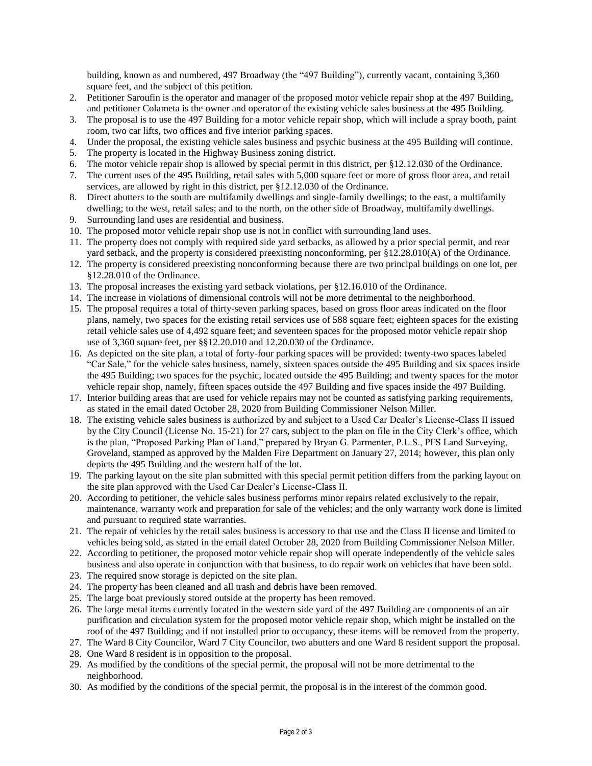building, known as and numbered, 497 Broadway (the "497 Building"), currently vacant, containing 3,360 square feet, and the subject of this petition.

- 2. Petitioner Saroufin is the operator and manager of the proposed motor vehicle repair shop at the 497 Building, and petitioner Colameta is the owner and operator of the existing vehicle sales business at the 495 Building.
- 3. The proposal is to use the 497 Building for a motor vehicle repair shop, which will include a spray booth, paint room, two car lifts, two offices and five interior parking spaces.
- 4. Under the proposal, the existing vehicle sales business and psychic business at the 495 Building will continue.
- 5. The property is located in the Highway Business zoning district.
- 6. The motor vehicle repair shop is allowed by special permit in this district, per §12.12.030 of the Ordinance.
- 7. The current uses of the 495 Building, retail sales with 5,000 square feet or more of gross floor area, and retail services, are allowed by right in this district, per §12.12.030 of the Ordinance.
- 8. Direct abutters to the south are multifamily dwellings and single-family dwellings; to the east, a multifamily dwelling; to the west, retail sales; and to the north, on the other side of Broadway, multifamily dwellings.
- 9. Surrounding land uses are residential and business.
- 10. The proposed motor vehicle repair shop use is not in conflict with surrounding land uses.
- 11. The property does not comply with required side yard setbacks, as allowed by a prior special permit, and rear yard setback, and the property is considered preexisting nonconforming, per §12.28.010(A) of the Ordinance.
- 12. The property is considered preexisting nonconforming because there are two principal buildings on one lot, per §12.28.010 of the Ordinance.
- 13. The proposal increases the existing yard setback violations, per §12.16.010 of the Ordinance.
- 14. The increase in violations of dimensional controls will not be more detrimental to the neighborhood.
- 15. The proposal requires a total of thirty-seven parking spaces, based on gross floor areas indicated on the floor plans, namely, two spaces for the existing retail services use of 588 square feet; eighteen spaces for the existing retail vehicle sales use of 4,492 square feet; and seventeen spaces for the proposed motor vehicle repair shop use of 3,360 square feet, per §§12.20.010 and 12.20.030 of the Ordinance.
- 16. As depicted on the site plan, a total of forty-four parking spaces will be provided: twenty-two spaces labeled "Car Sale," for the vehicle sales business, namely, sixteen spaces outside the 495 Building and six spaces inside the 495 Building; two spaces for the psychic, located outside the 495 Building; and twenty spaces for the motor vehicle repair shop, namely, fifteen spaces outside the 497 Building and five spaces inside the 497 Building.
- 17. Interior building areas that are used for vehicle repairs may not be counted as satisfying parking requirements, as stated in the email dated October 28, 2020 from Building Commissioner Nelson Miller.
- 18. The existing vehicle sales business is authorized by and subject to a Used Car Dealer's License-Class II issued by the City Council (License No. 15-21) for 27 cars, subject to the plan on file in the City Clerk's office, which is the plan, "Proposed Parking Plan of Land," prepared by Bryan G. Parmenter, P.L.S., PFS Land Surveying, Groveland, stamped as approved by the Malden Fire Department on January 27, 2014; however, this plan only depicts the 495 Building and the western half of the lot.
- 19. The parking layout on the site plan submitted with this special permit petition differs from the parking layout on the site plan approved with the Used Car Dealer's License-Class II.
- 20. According to petitioner, the vehicle sales business performs minor repairs related exclusively to the repair, maintenance, warranty work and preparation for sale of the vehicles; and the only warranty work done is limited and pursuant to required state warranties.
- 21. The repair of vehicles by the retail sales business is accessory to that use and the Class II license and limited to vehicles being sold, as stated in the email dated October 28, 2020 from Building Commissioner Nelson Miller.
- 22. According to petitioner, the proposed motor vehicle repair shop will operate independently of the vehicle sales business and also operate in conjunction with that business, to do repair work on vehicles that have been sold.
- 23. The required snow storage is depicted on the site plan.
- 24. The property has been cleaned and all trash and debris have been removed.
- 25. The large boat previously stored outside at the property has been removed.
- 26. The large metal items currently located in the western side yard of the 497 Building are components of an air purification and circulation system for the proposed motor vehicle repair shop, which might be installed on the roof of the 497 Building; and if not installed prior to occupancy, these items will be removed from the property.
- 27. The Ward 8 City Councilor, Ward 7 City Councilor, two abutters and one Ward 8 resident support the proposal.
- 28. One Ward 8 resident is in opposition to the proposal.
- 29. As modified by the conditions of the special permit, the proposal will not be more detrimental to the neighborhood.
- 30. As modified by the conditions of the special permit, the proposal is in the interest of the common good.